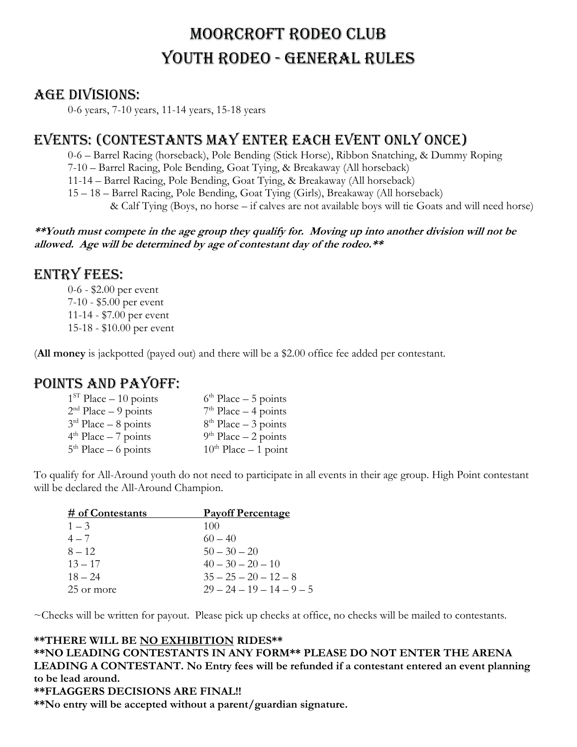# Moorcroft Rodeo Club YOUTH RODEO - GENERAL RULES

### AGE DIVISIONS:

0-6 years, 7-10 years, 11-14 years, 15-18 years

# EVENTS: (CONTESTANTS MAY ENTER EACH EVENT ONLY ONCE)

0-6 – Barrel Racing (horseback), Pole Bending (Stick Horse), Ribbon Snatching, & Dummy Roping

7-10 – Barrel Racing, Pole Bending, Goat Tying, & Breakaway (All horseback)

11-14 – Barrel Racing, Pole Bending, Goat Tying, & Breakaway (All horseback)

15 – 18 – Barrel Racing, Pole Bending, Goat Tying (Girls), Breakaway (All horseback)

& Calf Tying (Boys, no horse – if calves are not available boys will tie Goats and will need horse)

#### **\*\*Youth must compete in the age group they qualify for. Moving up into another division will not be allowed. Age will be determined by age of contestant day of the rodeo.\*\***

# ENTRY FEES:

0-6 - \$2.00 per event 7-10 - \$5.00 per event 11-14 - \$7.00 per event 15-18 - \$10.00 per event

(**All money** is jackpotted (payed out) and there will be a \$2.00 office fee added per contestant.

### POINTS AND PAYOFF:

| $1ST$ Place – 10 points | $6th Place - 5 points$    |
|-------------------------|---------------------------|
| $2nd Place - 9 points$  | $7th Place - 4 points$    |
| $3rd$ Place – 8 points  | $8th$ Place $-3$ points   |
| $4th Place - 7 points$  | $9th Place - 2 points$    |
| $5th$ Place – 6 points  | $10^{th}$ Place - 1 point |

To qualify for All-Around youth do not need to participate in all events in their age group. High Point contestant will be declared the All-Around Champion.

| # of Contestants | <b>Payoff Percentage</b>    |
|------------------|-----------------------------|
| $1 - 3$          | 100                         |
| $4 - 7$          | $60 - 40$                   |
| $8 - 12$         | $50 - 30 - 20$              |
| $13 - 17$        | $40 - 30 - 20 - 10$         |
| $18 - 24$        | $35 - 25 - 20 - 12 - 8$     |
| 25 or more       | $29 - 24 - 19 - 14 - 9 - 5$ |

~Checks will be written for payout. Please pick up checks at office, no checks will be mailed to contestants.

#### **\*\*THERE WILL BE NO EXHIBITION RIDES\*\***

**\*\*NO LEADING CONTESTANTS IN ANY FORM\*\* PLEASE DO NOT ENTER THE ARENA LEADING A CONTESTANT. No Entry fees will be refunded if a contestant entered an event planning to be lead around.**

#### **\*\*FLAGGERS DECISIONS ARE FINAL!!**

**\*\*No entry will be accepted without a parent/guardian signature.**